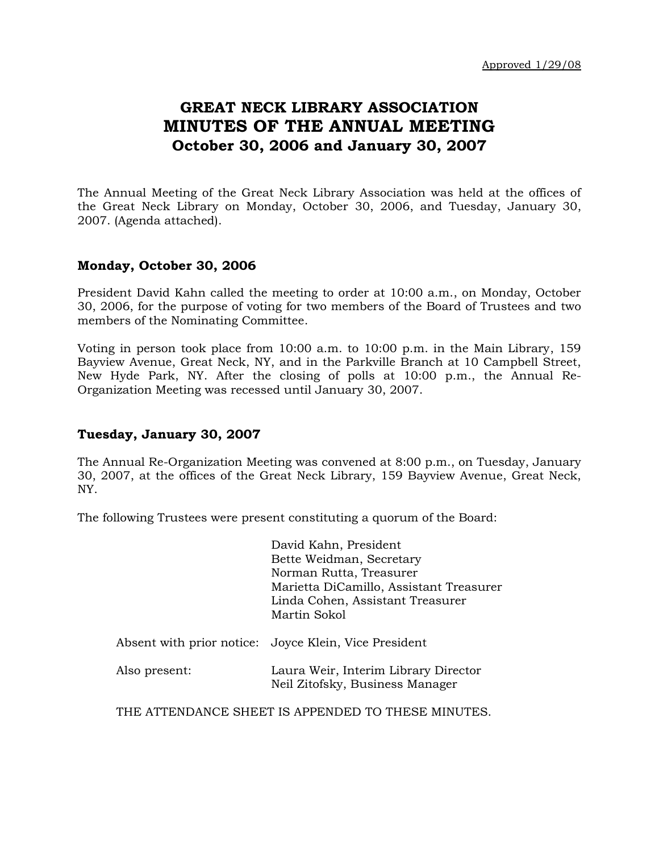# **GREAT NECK LIBRARY ASSOCIATION MINUTES OF THE ANNUAL MEETING October 30, 2006 and January 30, 2007**

The Annual Meeting of the Great Neck Library Association was held at the offices of the Great Neck Library on Monday, October 30, 2006, and Tuesday, January 30, 2007. (Agenda attached).

#### **Monday, October 30, 2006**

President David Kahn called the meeting to order at 10:00 a.m., on Monday, October 30, 2006, for the purpose of voting for two members of the Board of Trustees and two members of the Nominating Committee.

Voting in person took place from 10:00 a.m. to 10:00 p.m. in the Main Library, 159 Bayview Avenue, Great Neck, NY, and in the Parkville Branch at 10 Campbell Street, New Hyde Park, NY. After the closing of polls at 10:00 p.m., the Annual Re-Organization Meeting was recessed until January 30, 2007.

#### **Tuesday, January 30, 2007**

The Annual Re-Organization Meeting was convened at 8:00 p.m., on Tuesday, January 30, 2007, at the offices of the Great Neck Library, 159 Bayview Avenue, Great Neck, NY.

The following Trustees were present constituting a quorum of the Board:

|               | David Kahn, President                                 |
|---------------|-------------------------------------------------------|
|               | Bette Weidman, Secretary                              |
|               | Norman Rutta, Treasurer                               |
|               | Marietta DiCamillo, Assistant Treasurer               |
|               | Linda Cohen, Assistant Treasurer                      |
|               | Martin Sokol                                          |
|               |                                                       |
|               | Absent with prior notice: Joyce Klein, Vice President |
|               |                                                       |
| Also present: | Laura Weir, Interim Library Director                  |
|               | Neil Zitofsky, Business Manager                       |
|               |                                                       |

THE ATTENDANCE SHEET IS APPENDED TO THESE MINUTES.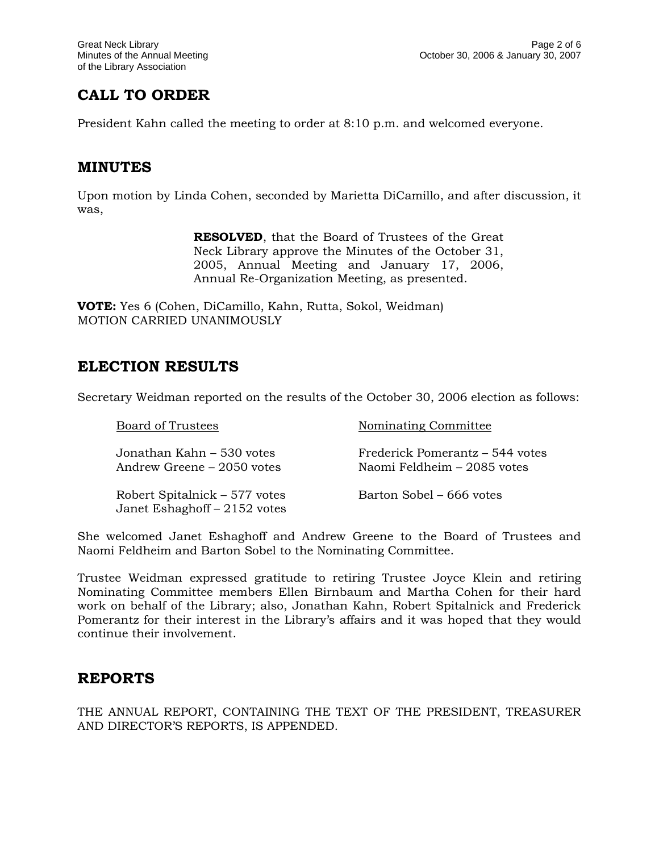# **CALL TO ORDER**

President Kahn called the meeting to order at 8:10 p.m. and welcomed everyone.

### **MINUTES**

Upon motion by Linda Cohen, seconded by Marietta DiCamillo, and after discussion, it was,

> **RESOLVED**, that the Board of Trustees of the Great Neck Library approve the Minutes of the October 31, 2005, Annual Meeting and January 17, 2006, Annual Re-Organization Meeting, as presented.

**VOTE:** Yes 6 (Cohen, DiCamillo, Kahn, Rutta, Sokol, Weidman) MOTION CARRIED UNANIMOUSLY

### **ELECTION RESULTS**

Secretary Weidman reported on the results of the October 30, 2006 election as follows:

| Board of Trustees                                             | Nominating Committee                                           |
|---------------------------------------------------------------|----------------------------------------------------------------|
| Jonathan Kahn – 530 votes<br>Andrew Greene – 2050 votes       | Frederick Pomerantz – 544 votes<br>Naomi Feldheim – 2085 votes |
| Robert Spitalnick – 577 votes<br>Janet Eshaghoff - 2152 votes | Barton Sobel – 666 votes                                       |

She welcomed Janet Eshaghoff and Andrew Greene to the Board of Trustees and Naomi Feldheim and Barton Sobel to the Nominating Committee.

Trustee Weidman expressed gratitude to retiring Trustee Joyce Klein and retiring Nominating Committee members Ellen Birnbaum and Martha Cohen for their hard work on behalf of the Library; also, Jonathan Kahn, Robert Spitalnick and Frederick Pomerantz for their interest in the Library's affairs and it was hoped that they would continue their involvement.

### **REPORTS**

THE ANNUAL REPORT, CONTAINING THE TEXT OF THE PRESIDENT, TREASURER AND DIRECTOR'S REPORTS, IS APPENDED.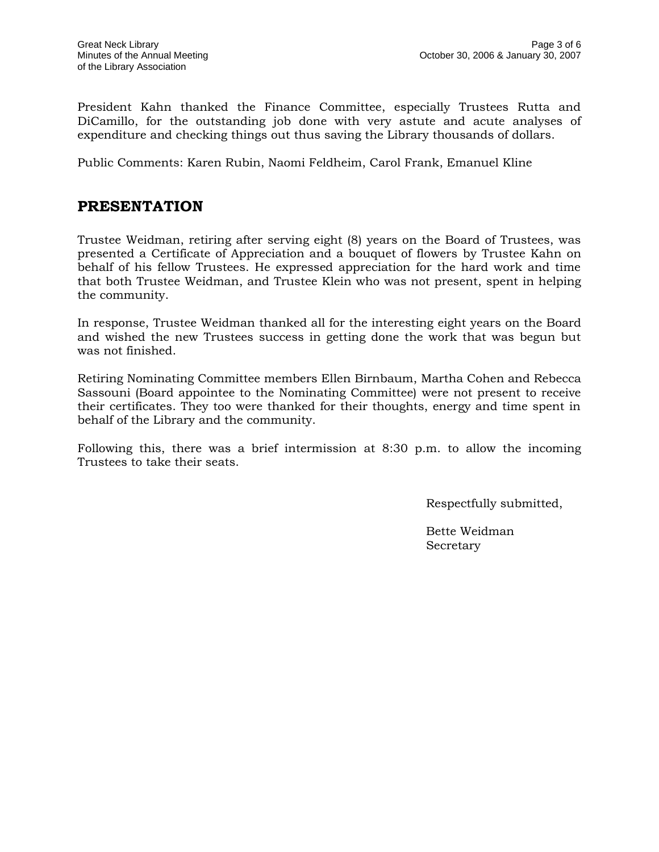President Kahn thanked the Finance Committee, especially Trustees Rutta and DiCamillo, for the outstanding job done with very astute and acute analyses of expenditure and checking things out thus saving the Library thousands of dollars.

Public Comments: Karen Rubin, Naomi Feldheim, Carol Frank, Emanuel Kline

### **PRESENTATION**

Trustee Weidman, retiring after serving eight (8) years on the Board of Trustees, was presented a Certificate of Appreciation and a bouquet of flowers by Trustee Kahn on behalf of his fellow Trustees. He expressed appreciation for the hard work and time that both Trustee Weidman, and Trustee Klein who was not present, spent in helping the community.

In response, Trustee Weidman thanked all for the interesting eight years on the Board and wished the new Trustees success in getting done the work that was begun but was not finished.

Retiring Nominating Committee members Ellen Birnbaum, Martha Cohen and Rebecca Sassouni (Board appointee to the Nominating Committee) were not present to receive their certificates. They too were thanked for their thoughts, energy and time spent in behalf of the Library and the community.

Following this, there was a brief intermission at 8:30 p.m. to allow the incoming Trustees to take their seats.

Respectfully submitted,

Bette Weidman Secretary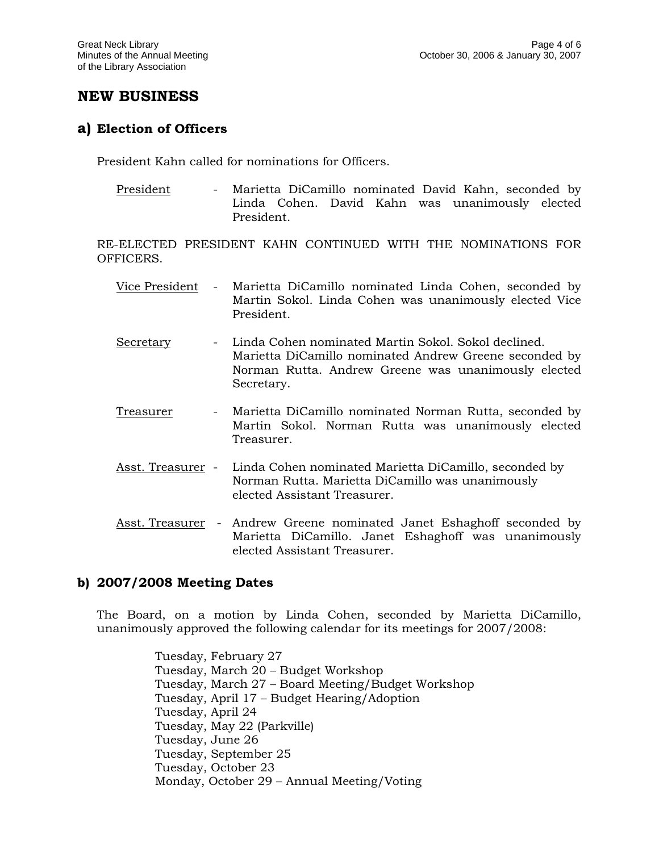### **NEW BUSINESS**

#### **a) Election of Officers**

President Kahn called for nominations for Officers.

President - Marietta DiCamillo nominated David Kahn, seconded by Linda Cohen. David Kahn was unanimously elected President.

RE-ELECTED PRESIDENT KAHN CONTINUED WITH THE NOMINATIONS FOR OFFICERS.

- Vice President Marietta DiCamillo nominated Linda Cohen, seconded by Martin Sokol. Linda Cohen was unanimously elected Vice President.
- Secretary Linda Cohen nominated Martin Sokol. Sokol declined. Marietta DiCamillo nominated Andrew Greene seconded by Norman Rutta. Andrew Greene was unanimously elected Secretary.
- Treasurer Marietta DiCamillo nominated Norman Rutta, seconded by Martin Sokol. Norman Rutta was unanimously elected Treasurer.
- Asst. Treasurer Linda Cohen nominated Marietta DiCamillo, seconded by Norman Rutta. Marietta DiCamillo was unanimously elected Assistant Treasurer.
- Asst. Treasurer Andrew Greene nominated Janet Eshaghoff seconded by Marietta DiCamillo. Janet Eshaghoff was unanimously elected Assistant Treasurer.

#### **b) 2007/2008 Meeting Dates**

The Board, on a motion by Linda Cohen, seconded by Marietta DiCamillo, unanimously approved the following calendar for its meetings for 2007/2008:

> Tuesday, February 27 Tuesday, March 20 – Budget Workshop Tuesday, March 27 – Board Meeting/Budget Workshop Tuesday, April 17 – Budget Hearing/Adoption Tuesday, April 24 Tuesday, May 22 (Parkville) Tuesday, June 26 Tuesday, September 25 Tuesday, October 23 Monday, October 29 – Annual Meeting/Voting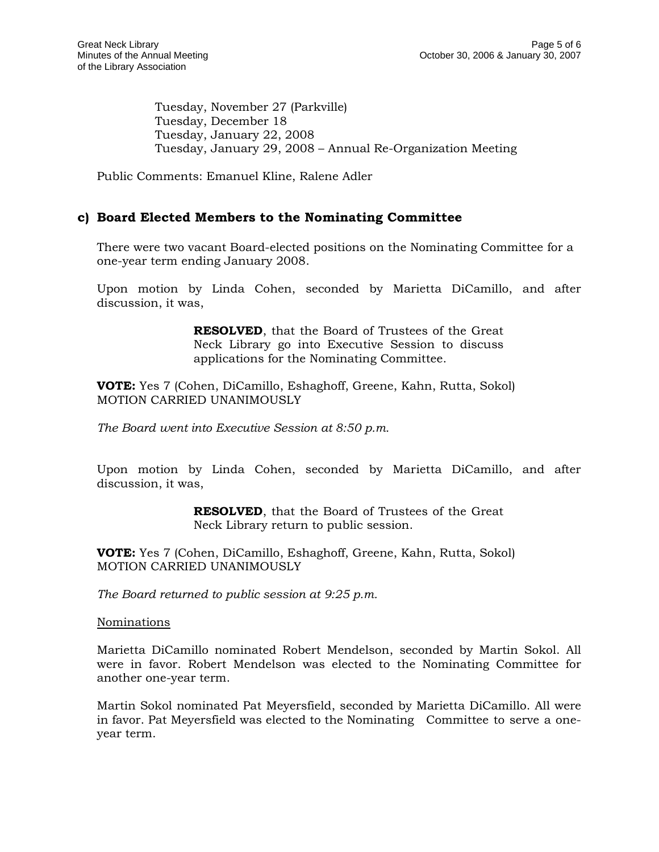Tuesday, November 27 (Parkville) Tuesday, December 18 Tuesday, January 22, 2008 Tuesday, January 29, 2008 – Annual Re-Organization Meeting

Public Comments: Emanuel Kline, Ralene Adler

#### **c) Board Elected Members to the Nominating Committee**

There were two vacant Board-elected positions on the Nominating Committee for a one-year term ending January 2008.

Upon motion by Linda Cohen, seconded by Marietta DiCamillo, and after discussion, it was,

> **RESOLVED**, that the Board of Trustees of the Great Neck Library go into Executive Session to discuss applications for the Nominating Committee.

**VOTE:** Yes 7 (Cohen, DiCamillo, Eshaghoff, Greene, Kahn, Rutta, Sokol) MOTION CARRIED UNANIMOUSLY

*The Board went into Executive Session at 8:50 p.m.* 

Upon motion by Linda Cohen, seconded by Marietta DiCamillo, and after discussion, it was,

> **RESOLVED**, that the Board of Trustees of the Great Neck Library return to public session.

**VOTE:** Yes 7 (Cohen, DiCamillo, Eshaghoff, Greene, Kahn, Rutta, Sokol) MOTION CARRIED UNANIMOUSLY

*The Board returned to public session at 9:25 p.m.*

Nominations

Marietta DiCamillo nominated Robert Mendelson, seconded by Martin Sokol. All were in favor. Robert Mendelson was elected to the Nominating Committee for another one-year term.

Martin Sokol nominated Pat Meyersfield, seconded by Marietta DiCamillo. All were in favor. Pat Meyersfield was elected to the Nominating Committee to serve a oneyear term.